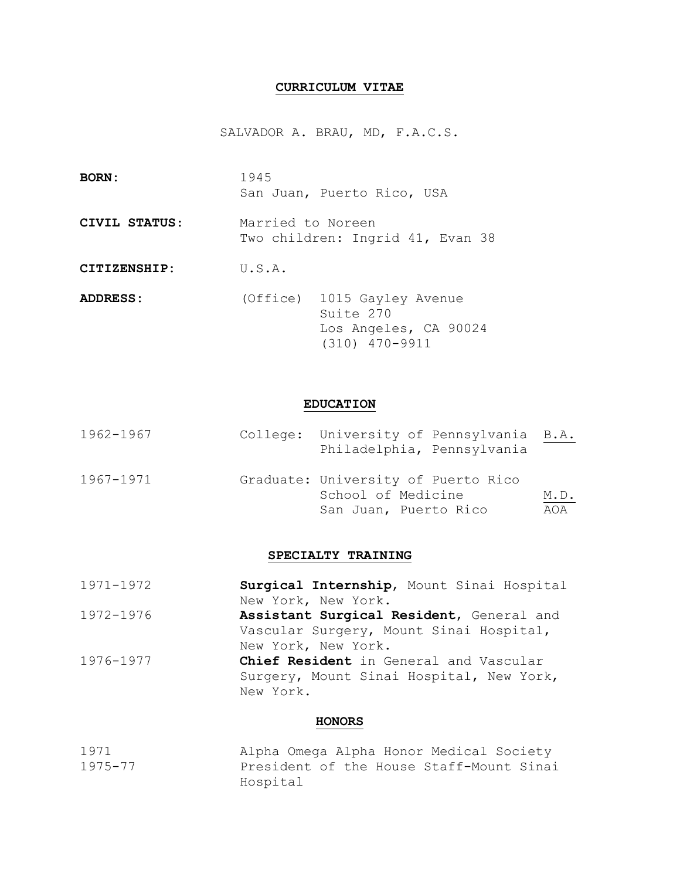# **CURRICULUM VITAE**

SALVADOR A. BRAU, MD, F.A.C.S.

| <b>BORN:</b>  | 1945<br>San Juan, Puerto Rico, USA                                                        |
|---------------|-------------------------------------------------------------------------------------------|
| CIVIL STATUS: | Married to Noreen<br>Two children: Ingrid 41, Evan 38                                     |
| CITIZENSHIP:  | U.S.A.                                                                                    |
| ADDRESS:      | (Office) 1015 Gayley Avenue<br>Suite 270<br>Los Angeles, CA 90024<br>$(310)$ $470 - 9911$ |

# **EDUCATION**

| 1962-1967 | College: University of Pennsylvania B.A.<br>Philadelphia, Pennsylvania |      |
|-----------|------------------------------------------------------------------------|------|
| 1967-1971 | Graduate: University of Puerto Rico<br>School of Medicine              |      |
|           |                                                                        | M.D. |
|           | San Juan, Puerto Rico                                                  | AOA  |

# **SPECIALTY TRAINING**

| 1971-1972 | Surgical Internship, Mount Sinai Hospital |
|-----------|-------------------------------------------|
|           | New York, New York.                       |
| 1972-1976 | Assistant Surgical Resident, General and  |
|           | Vascular Surgery, Mount Sinai Hospital,   |
|           | New York, New York.                       |
| 1976-1977 | Chief Resident in General and Vascular    |
|           | Surgery, Mount Sinai Hospital, New York,  |
|           | New York.                                 |
|           |                                           |

### **HONORS**

| 1971    |          | Alpha Omega Alpha Honor Medical Society  |
|---------|----------|------------------------------------------|
| 1975-77 |          | President of the House Staff-Mount Sinai |
|         | Hospital |                                          |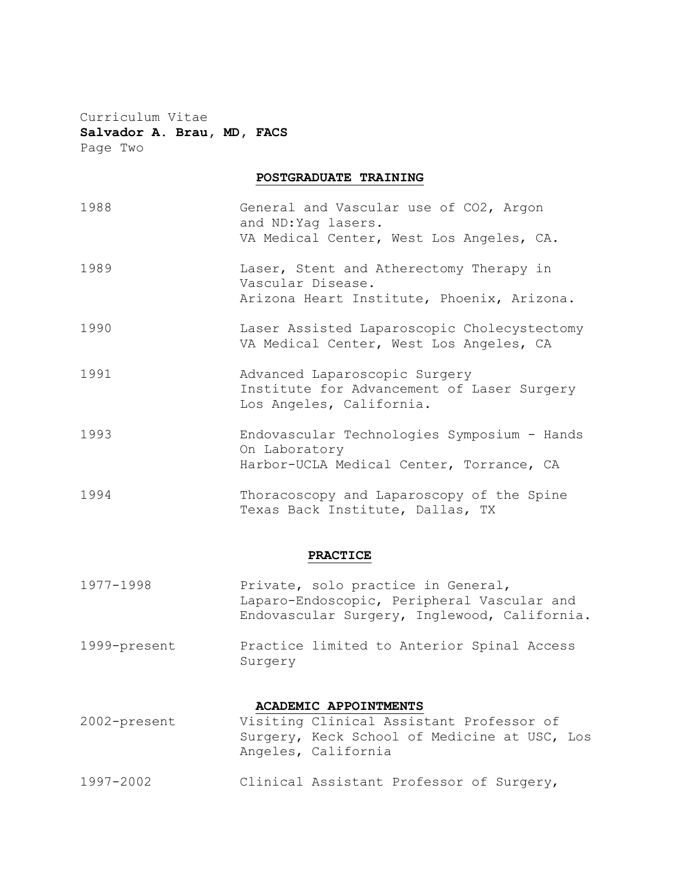Curriculum Vitae **Salvador A. Brau, MD, FACS** Page Two

# **POSTGRADUATE TRAINING**

| 1988         | General and Vascular use of CO2, Argon<br>and ND: Yag lasers.<br>VA Medical Center, West Los Angeles, CA.                        |
|--------------|----------------------------------------------------------------------------------------------------------------------------------|
| 1989         | Laser, Stent and Atherectomy Therapy in<br>Vascular Disease.<br>Arizona Heart Institute, Phoenix, Arizona.                       |
| 1990         | Laser Assisted Laparoscopic Cholecystectomy<br>VA Medical Center, West Los Angeles, CA                                           |
| 1991         | Advanced Laparoscopic Surgery<br>Institute for Advancement of Laser Surgery<br>Los Angeles, California.                          |
| 1993         | Endovascular Technologies Symposium - Hands<br>On Laboratory<br>Harbor-UCLA Medical Center, Torrance, CA                         |
| 1994         | Thoracoscopy and Laparoscopy of the Spine<br>Texas Back Institute, Dallas, TX                                                    |
|              | <b>PRACTICE</b>                                                                                                                  |
| 1977-1998    | Private, solo practice in General,<br>Laparo-Endoscopic, Peripheral Vascular and<br>Endovascular Surgery, Inglewood, California. |
| 1999-present | Practice limited to Anterior Spinal Access<br>Surgery                                                                            |

# **ACADEMIC APPOINTMENTS**

2002-present Visiting Clinical Assistant Professor of Surgery, Keck School of Medicine at USC, Los Angeles, California 1997-2002 Clinical Assistant Professor of Surgery,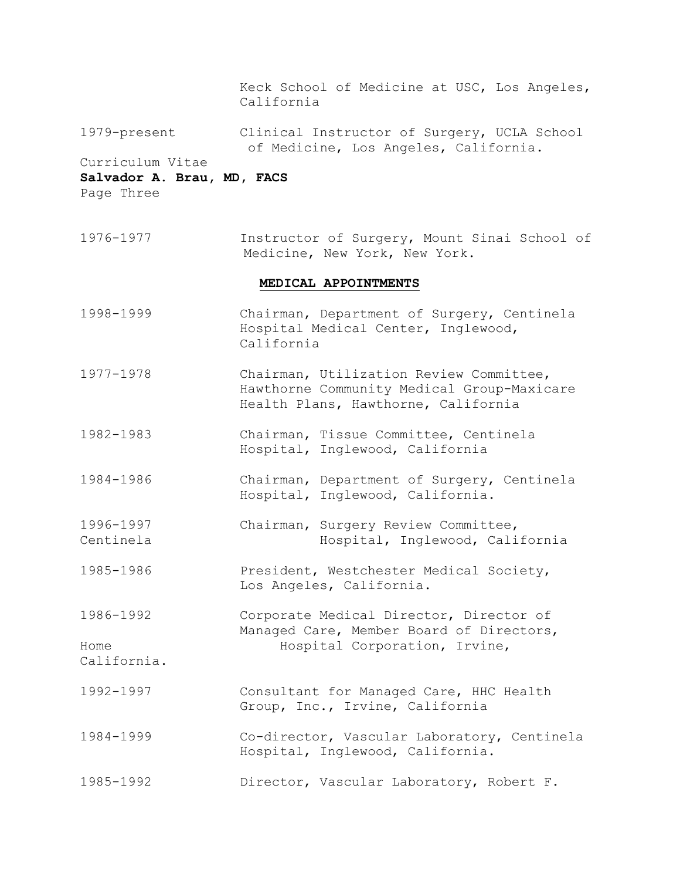Keck School of Medicine at USC, Los Angeles, California

1979-present Clinical Instructor of Surgery, UCLA School of Medicine, Los Angeles, California.

# Curriculum Vitae

# **Salvador A. Brau, MD, FACS**

Page Three

California.

1976-1977 Instructor of Surgery, Mount Sinai School of Medicine, New York, New York.

### **MEDICAL APPOINTMENTS**

- 1998-1999 Chairman, Department of Surgery, Centinela Hospital Medical Center, Inglewood, California
- 1977-1978 Chairman, Utilization Review Committee, Hawthorne Community Medical Group-Maxicare Health Plans, Hawthorne, California
- 1982-1983 Chairman, Tissue Committee, Centinela Hospital, Inglewood, California
- 1984-1986 Chairman, Department of Surgery, Centinela Hospital, Inglewood, California.
- 1996-1997 Chairman, Surgery Review Committee, Centinela Hospital, Inglewood, California
- 1985-1986 President, Westchester Medical Society, Los Angeles, California.

1986-1992 Corporate Medical Director, Director of Managed Care, Member Board of Directors, Home **Hospital Corporation, Irvine**,

- 1992-1997 Consultant for Managed Care, HHC Health Group, Inc., Irvine, California
- 1984-1999 Co-director, Vascular Laboratory, Centinela Hospital, Inglewood, California.
- 1985-1992 Director, Vascular Laboratory, Robert F.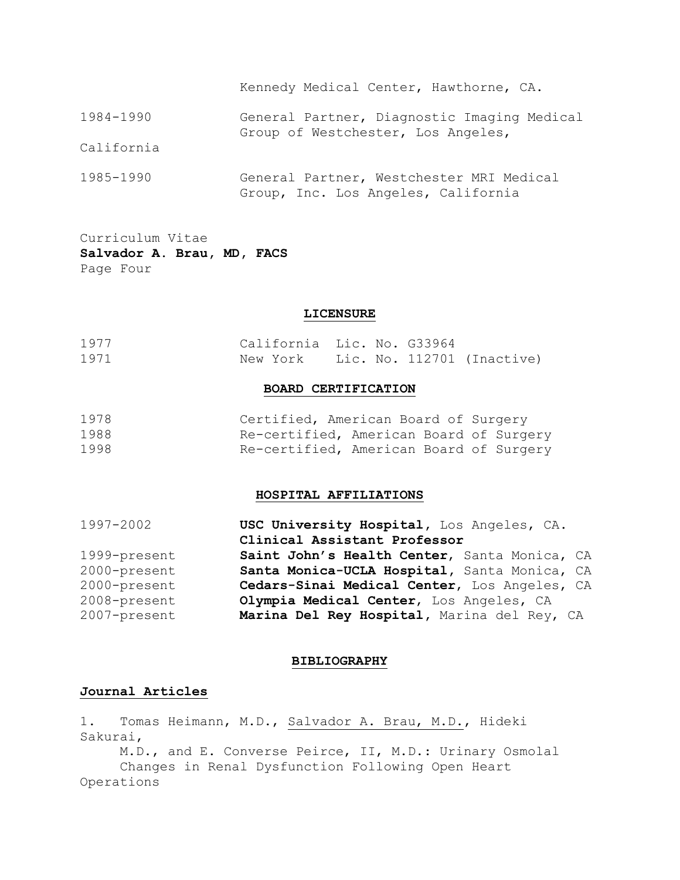|            | Kennedy Medical Center, Hawthorne, CA.                                            |
|------------|-----------------------------------------------------------------------------------|
| 1984-1990  | General Partner, Diagnostic Imaging Medical<br>Group of Westchester, Los Angeles, |
| California |                                                                                   |
| 1985-1990  | General Partner, Westchester MRI Medical<br>Group, Inc. Los Angeles, California   |

# Curriculum Vitae **Salvador A. Brau, MD, FACS** Page Four

#### **LICENSURE**

| 1977 | California Lic. No. G33964          |  |  |
|------|-------------------------------------|--|--|
| 1971 | New York Lic. No. 112701 (Inactive) |  |  |

#### **BOARD CERTIFICATION**

| 1978 | Certified, American Board of Surgery    |  |  |
|------|-----------------------------------------|--|--|
| 1988 | Re-certified, American Board of Surgery |  |  |
| 1998 | Re-certified, American Board of Surgery |  |  |

# **HOSPITAL AFFILIATIONS**

| 1997-2002    | USC University Hospital, Los Angeles, CA.    |
|--------------|----------------------------------------------|
|              | Clinical Assistant Professor                 |
| 1999-present | Saint John's Health Center, Santa Monica, CA |
| 2000-present | Santa Monica-UCLA Hospital, Santa Monica, CA |
| 2000-present | Cedars-Sinai Medical Center, Los Angeles, CA |
| 2008-present | Olympia Medical Center, Los Angeles, CA      |
| 2007-present | Marina Del Rey Hospital, Marina del Rey, CA  |

#### **BIBLIOGRAPHY**

# **Journal Articles**

1. Tomas Heimann, M.D., Salvador A. Brau, M.D., Hideki Sakurai,

M.D., and E. Converse Peirce, II, M.D.: Urinary Osmolal Changes in Renal Dysfunction Following Open Heart Operations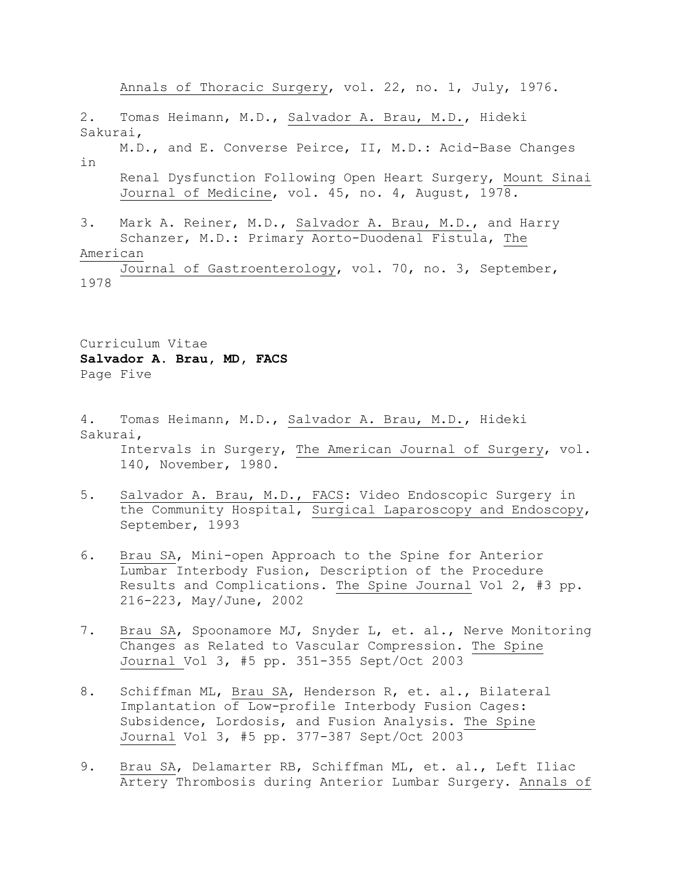Annals of Thoracic Surgery, vol. 22, no. 1, July, 1976.

2. Tomas Heimann, M.D., Salvador A. Brau, M.D., Hideki Sakurai, M.D., and E. Converse Peirce, II, M.D.: Acid-Base Changes in Renal Dysfunction Following Open Heart Surgery, Mount Sinai Journal of Medicine, vol. 45, no. 4, August, 1978. 3. Mark A. Reiner, M.D., Salvador A. Brau, M.D., and Harry Schanzer, M.D.: Primary Aorto-Duodenal Fistula, The American Journal of Gastroenterology, vol. 70, no. 3, September, 1978

Curriculum Vitae **Salvador A. Brau, MD, FACS** Page Five

4. Tomas Heimann, M.D., Salvador A. Brau, M.D., Hideki Sakurai, Intervals in Surgery, The American Journal of Surgery, vol. 140, November, 1980.

- 5. Salvador A. Brau, M.D., FACS: Video Endoscopic Surgery in the Community Hospital, Surgical Laparoscopy and Endoscopy, September, 1993
- 6. Brau SA, Mini-open Approach to the Spine for Anterior Lumbar Interbody Fusion, Description of the Procedure Results and Complications. The Spine Journal Vol 2, #3 pp. 216-223, May/June, 2002
- 7. Brau SA, Spoonamore MJ, Snyder L, et. al., Nerve Monitoring Changes as Related to Vascular Compression. The Spine Journal Vol 3, #5 pp. 351-355 Sept/Oct 2003
- 8. Schiffman ML, Brau SA, Henderson R, et. al., Bilateral Implantation of Low-profile Interbody Fusion Cages: Subsidence, Lordosis, and Fusion Analysis. The Spine Journal Vol 3, #5 pp. 377-387 Sept/Oct 2003
- 9. Brau SA, Delamarter RB, Schiffman ML, et. al., Left Iliac Artery Thrombosis during Anterior Lumbar Surgery. Annals of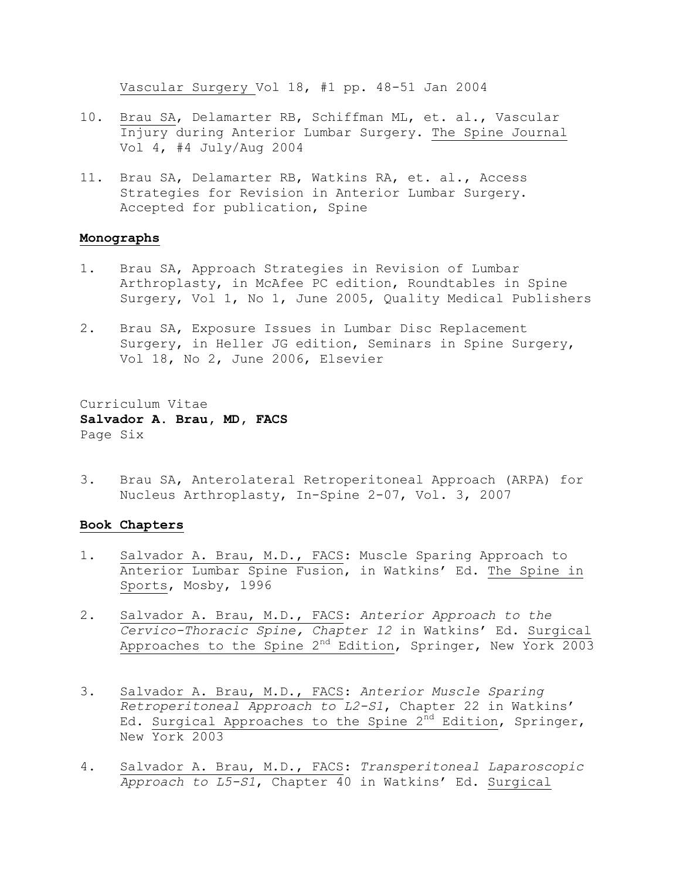Vascular Surgery Vol 18, #1 pp. 48-51 Jan 2004

- 10. Brau SA, Delamarter RB, Schiffman ML, et. al., Vascular Injury during Anterior Lumbar Surgery. The Spine Journal Vol 4, #4 July/Aug 2004
- 11. Brau SA, Delamarter RB, Watkins RA, et. al., Access Strategies for Revision in Anterior Lumbar Surgery. Accepted for publication, Spine

#### **Monographs**

- 1. Brau SA, Approach Strategies in Revision of Lumbar Arthroplasty, in McAfee PC edition, Roundtables in Spine Surgery, Vol 1, No 1, June 2005, Quality Medical Publishers
- 2. Brau SA, Exposure Issues in Lumbar Disc Replacement Surgery, in Heller JG edition, Seminars in Spine Surgery, Vol 18, No 2, June 2006, Elsevier

Curriculum Vitae **Salvador A. Brau, MD, FACS** Page Six

3. Brau SA, Anterolateral Retroperitoneal Approach (ARPA) for Nucleus Arthroplasty, In-Spine 2-07, Vol. 3, 2007

# **Book Chapters**

- 1. Salvador A. Brau, M.D., FACS: Muscle Sparing Approach to Anterior Lumbar Spine Fusion, in Watkins' Ed. The Spine in Sports, Mosby, 1996
- 2. Salvador A. Brau, M.D., FACS: *Anterior Approach to the Cervico-Thoracic Spine, Chapter 12* in Watkins' Ed. Surgical Approaches to the Spine 2<sup>nd</sup> Edition, Springer, New York 2003
- 3. Salvador A. Brau, M.D., FACS: *Anterior Muscle Sparing Retroperitoneal Approach to L2-S1*, Chapter 22 in Watkins' Ed. Surgical Approaches to the Spine  $2^{nd}$  Edition, Springer, New York 2003
- 4. Salvador A. Brau, M.D., FACS: *Transperitoneal Laparoscopic Approach to L5-S1*, Chapter 40 in Watkins' Ed. Surgical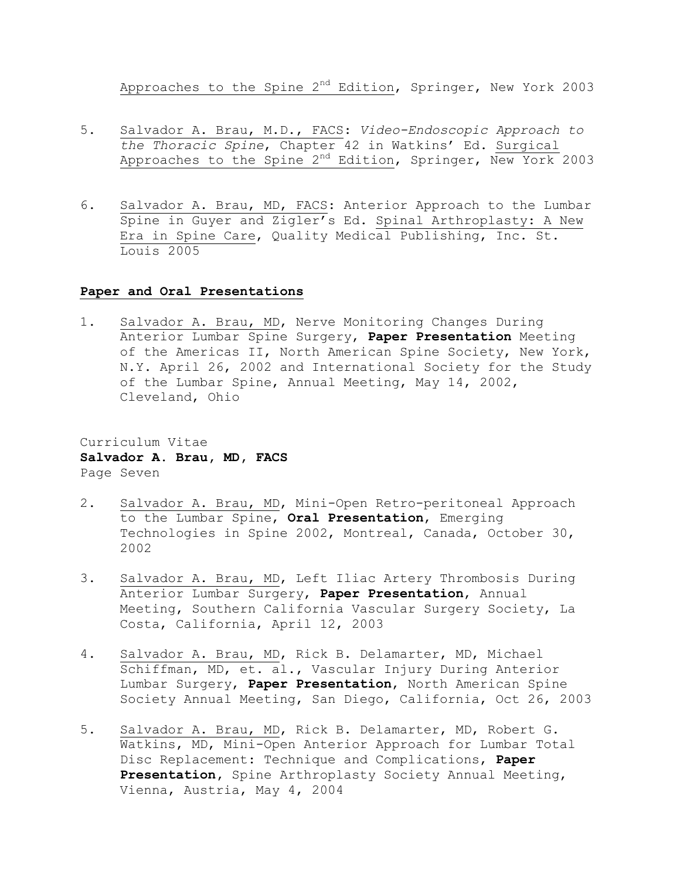Approaches to the Spine 2<sup>nd</sup> Edition, Springer, New York 2003

- 5. Salvador A. Brau, M.D., FACS: *Video-Endoscopic Approach to the Thoracic Spine*, Chapter 42 in Watkins' Ed. Surgical Approaches to the Spine 2<sup>nd</sup> Edition, Springer, New York 2003
- 6. Salvador A. Brau, MD, FACS: Anterior Approach to the Lumbar Spine in Guyer and Zigler's Ed. Spinal Arthroplasty: A New Era in Spine Care, Quality Medical Publishing, Inc. St. Louis 2005

### **Paper and Oral Presentations**

1. Salvador A. Brau, MD, Nerve Monitoring Changes During Anterior Lumbar Spine Surgery, **Paper Presentation** Meeting of the Americas II, North American Spine Society, New York, N.Y. April 26, 2002 and International Society for the Study of the Lumbar Spine, Annual Meeting, May 14, 2002, Cleveland, Ohio

Curriculum Vitae **Salvador A. Brau, MD, FACS** Page Seven

- 2. Salvador A. Brau, MD, Mini-Open Retro-peritoneal Approach to the Lumbar Spine, **Oral Presentation**, Emerging Technologies in Spine 2002, Montreal, Canada, October 30, 2002
- 3. Salvador A. Brau, MD, Left Iliac Artery Thrombosis During Anterior Lumbar Surgery, **Paper Presentation**, Annual Meeting, Southern California Vascular Surgery Society, La Costa, California, April 12, 2003
- 4. Salvador A. Brau, MD, Rick B. Delamarter, MD, Michael Schiffman, MD, et. al., Vascular Injury During Anterior Lumbar Surgery, **Paper Presentation**, North American Spine Society Annual Meeting, San Diego, California, Oct 26, 2003
- 5. Salvador A. Brau, MD, Rick B. Delamarter, MD, Robert G. Watkins, MD, Mini-Open Anterior Approach for Lumbar Total Disc Replacement: Technique and Complications, **Paper Presentation,** Spine Arthroplasty Society Annual Meeting, Vienna, Austria, May 4, 2004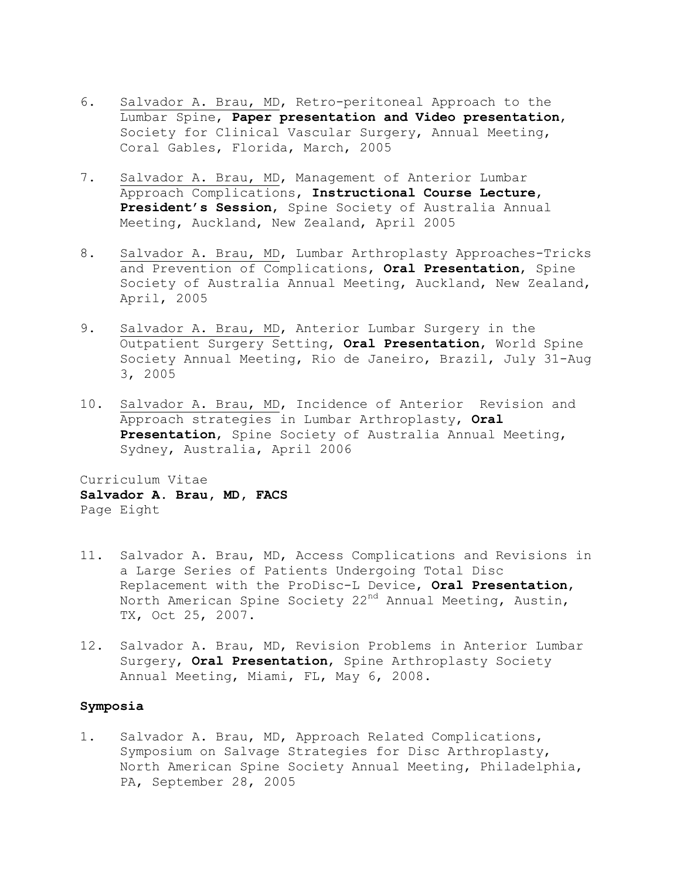- 6. Salvador A. Brau, MD, Retro-peritoneal Approach to the Lumbar Spine, **Paper presentation and Video presentation**, Society for Clinical Vascular Surgery, Annual Meeting, Coral Gables, Florida, March, 2005
- 7. Salvador A. Brau, MD, Management of Anterior Lumbar Approach Complications, **Instructional Course Lecture**, **President's Session**, Spine Society of Australia Annual Meeting, Auckland, New Zealand, April 2005
- 8. Salvador A. Brau, MD, Lumbar Arthroplasty Approaches-Tricks and Prevention of Complications, **Oral Presentation**, Spine Society of Australia Annual Meeting, Auckland, New Zealand, April, 2005
- 9. Salvador A. Brau, MD, Anterior Lumbar Surgery in the Outpatient Surgery Setting, **Oral Presentation**, World Spine Society Annual Meeting, Rio de Janeiro, Brazil, July 31-Aug 3, 2005
- 10. Salvador A. Brau, MD, Incidence of Anterior Revision and Approach strategies in Lumbar Arthroplasty, **Oral Presentation**, Spine Society of Australia Annual Meeting, Sydney, Australia, April 2006

Curriculum Vitae **Salvador A. Brau, MD, FACS** Page Eight

- 11. Salvador A. Brau, MD, Access Complications and Revisions in a Large Series of Patients Undergoing Total Disc Replacement with the ProDisc-L Device, **Oral Presentation**, North American Spine Society 22<sup>nd</sup> Annual Meeting, Austin, TX, Oct 25, 2007.
- 12. Salvador A. Brau, MD, Revision Problems in Anterior Lumbar Surgery, **Oral Presentation**, Spine Arthroplasty Society Annual Meeting, Miami, FL, May 6, 2008.

# **Symposia**

1. Salvador A. Brau, MD, Approach Related Complications, Symposium on Salvage Strategies for Disc Arthroplasty, North American Spine Society Annual Meeting, Philadelphia, PA, September 28, 2005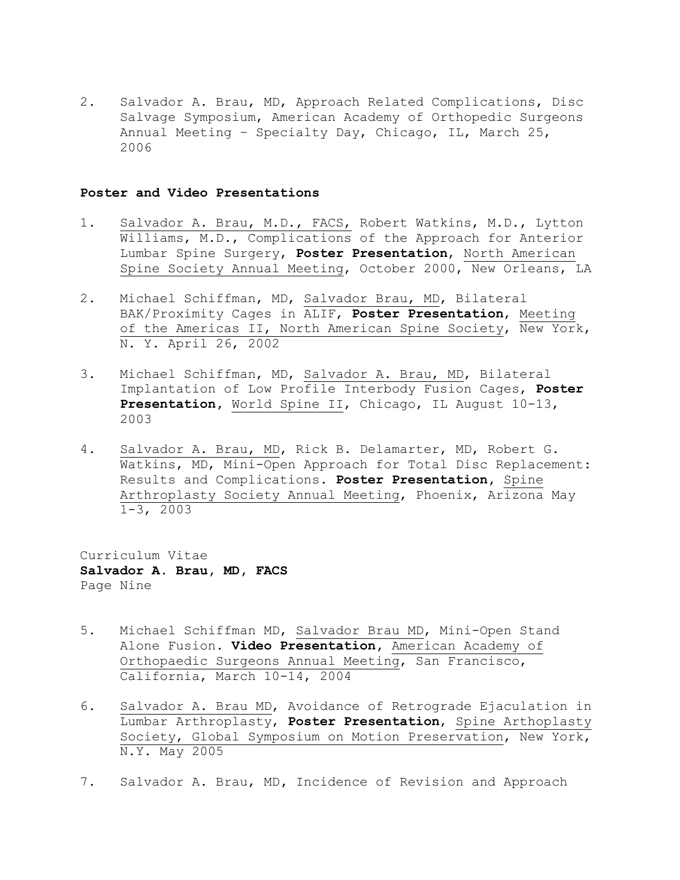2. Salvador A. Brau, MD, Approach Related Complications, Disc Salvage Symposium, American Academy of Orthopedic Surgeons Annual Meeting – Specialty Day, Chicago, IL, March 25, 2006

#### **Poster and Video Presentations**

- 1. Salvador A. Brau, M.D., FACS, Robert Watkins, M.D., Lytton Williams, M.D., Complications of the Approach for Anterior Lumbar Spine Surgery, **Poster Presentation**, North American Spine Society Annual Meeting, October 2000, New Orleans, LA
- 2. Michael Schiffman, MD, Salvador Brau, MD, Bilateral BAK/Proximity Cages in ALIF, **Poster Presentation**, Meeting of the Americas II, North American Spine Society, New York, N. Y. April 26, 2002
- 3. Michael Schiffman, MD, Salvador A. Brau, MD, Bilateral Implantation of Low Profile Interbody Fusion Cages, **Poster Presentation,** World Spine II, Chicago, IL August 10-13, 2003
- 4. Salvador A. Brau, MD, Rick B. Delamarter, MD, Robert G. Watkins, MD, Mini-Open Approach for Total Disc Replacement: Results and Complications. **Poster Presentation,** Spine Arthroplasty Society Annual Meeting, Phoenix, Arizona May 1-3, 2003

Curriculum Vitae **Salvador A. Brau, MD, FACS** Page Nine

- 5. Michael Schiffman MD, Salvador Brau MD, Mini-Open Stand Alone Fusion. **Video Presentation,** American Academy of Orthopaedic Surgeons Annual Meeting, San Francisco, California, March 10-14, 2004
- 6. Salvador A. Brau MD, Avoidance of Retrograde Ejaculation in Lumbar Arthroplasty, **Poster Presentation**, Spine Arthoplasty Society, Global Symposium on Motion Preservation, New York, N.Y. May 2005
- 7. Salvador A. Brau, MD**,** Incidence of Revision and Approach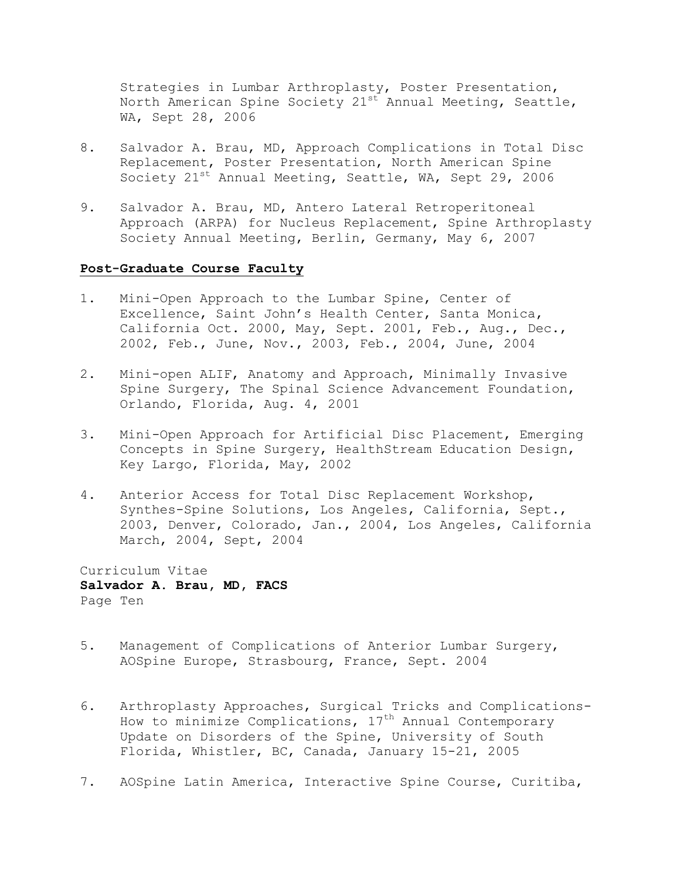Strategies in Lumbar Arthroplasty, Poster Presentation, North American Spine Society  $21^{st}$  Annual Meeting, Seattle, WA, Sept 28, 2006

- 8. Salvador A. Brau, MD, Approach Complications in Total Disc Replacement, Poster Presentation, North American Spine Society  $21^{st}$  Annual Meeting, Seattle, WA, Sept 29, 2006
- 9. Salvador A. Brau, MD, Antero Lateral Retroperitoneal Approach (ARPA) for Nucleus Replacement, Spine Arthroplasty Society Annual Meeting, Berlin, Germany, May 6, 2007

### **Post-Graduate Course Faculty**

- 1. Mini-Open Approach to the Lumbar Spine, Center of Excellence, Saint John's Health Center, Santa Monica, California Oct. 2000, May, Sept. 2001, Feb., Aug., Dec., 2002, Feb., June, Nov., 2003, Feb., 2004, June, 2004
- 2. Mini-open ALIF, Anatomy and Approach, Minimally Invasive Spine Surgery, The Spinal Science Advancement Foundation, Orlando, Florida, Aug. 4, 2001
- 3. Mini-Open Approach for Artificial Disc Placement, Emerging Concepts in Spine Surgery, HealthStream Education Design, Key Largo, Florida, May, 2002
- 4. Anterior Access for Total Disc Replacement Workshop, Synthes-Spine Solutions, Los Angeles, California, Sept., 2003, Denver, Colorado, Jan., 2004, Los Angeles, California March, 2004, Sept, 2004

Curriculum Vitae **Salvador A. Brau, MD, FACS** Page Ten

- 5. Management of Complications of Anterior Lumbar Surgery, AOSpine Europe, Strasbourg, France, Sept. 2004
- 6. Arthroplasty Approaches, Surgical Tricks and Complications-How to minimize Complications,  $17<sup>th</sup>$  Annual Contemporary Update on Disorders of the Spine, University of South Florida, Whistler, BC, Canada, January 15-21, 2005
- 7. AOSpine Latin America, Interactive Spine Course, Curitiba,